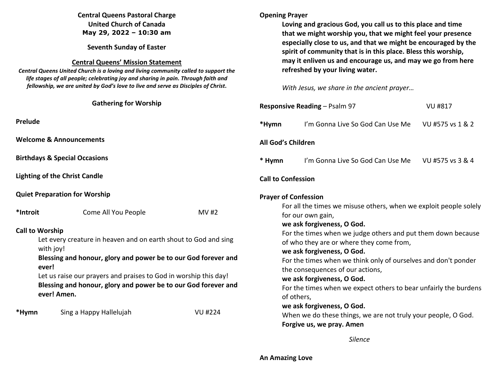# **Central Queens Pastoral Charge United Church of Canada May 29, 2022 – 10:30 am**

**Seventh Sunday of Easter** 

## **Central Queens' Mission Statement**

 *Central Queens United Church is a loving and living community called to support the life stages of all people; celebrating joy and sharing in pain. Through faith and fellowship, we are united by God's love to live and serve as Disciples of Christ***.** 

|                                                                                                                                                                                                                                                                                                                                        | <b>Gathering for Worship</b>                                                                                                             |                | <b>Responsive Reading</b>  |                                                   |
|----------------------------------------------------------------------------------------------------------------------------------------------------------------------------------------------------------------------------------------------------------------------------------------------------------------------------------------|------------------------------------------------------------------------------------------------------------------------------------------|----------------|----------------------------|---------------------------------------------------|
| Prelude                                                                                                                                                                                                                                                                                                                                |                                                                                                                                          |                | *Hymn                      | I'm G                                             |
| <b>Welcome &amp; Announcements</b>                                                                                                                                                                                                                                                                                                     |                                                                                                                                          |                | All God's Children         |                                                   |
|                                                                                                                                                                                                                                                                                                                                        | <b>Birthdays &amp; Special Occasions</b>                                                                                                 |                | * Hymn                     | l'm                                               |
| <b>Lighting of the Christ Candle</b>                                                                                                                                                                                                                                                                                                   | <b>Call to Confession</b>                                                                                                                |                |                            |                                                   |
| <b>Quiet Preparation for Worship</b>                                                                                                                                                                                                                                                                                                   |                                                                                                                                          |                | <b>Prayer of Confessio</b> |                                                   |
| *Introit                                                                                                                                                                                                                                                                                                                               | Come All You People                                                                                                                      | MV #2          |                            | For all the ti<br>for our own                     |
| <b>Call to Worship</b><br>Let every creature in heaven and on earth shout to God and sing<br>with joy!<br>Blessing and honour, glory and power be to our God forever and<br>ever!<br>Let us raise our prayers and praises to God in worship this day!<br>Blessing and honour, glory and power be to our God forever and<br>ever! Amen. | we ask forgi<br>For the time<br>of who they<br>we ask forgi<br>For the time<br>the consequ<br>we ask forgi<br>For the time<br>of others, |                |                            |                                                   |
| *Hymn                                                                                                                                                                                                                                                                                                                                  | Sing a Happy Hallelujah                                                                                                                  | <b>VU #224</b> |                            | we ask forgi<br>When we do<br><b>Forgive us v</b> |

# **Opening Prayer**

**Loving and gracious God, you call us to this place and time that we might worship you, that we might feel your presence especially close to us, and that we might be encouraged by the spirit of community that is in this place. Bless this worship, may it enliven us and encourage us, and may we go from here refreshed by your living water.** 

*With Jesus, we share in the ancient prayer…* 

| <b>Responsive Reading - Psalm 97</b><br><b>VU #817</b>                                                                                                                                                                                                                                                                                                                                                                                                                                                                                                                                                                                          |                                                   |  |  |  |  |  |  |
|-------------------------------------------------------------------------------------------------------------------------------------------------------------------------------------------------------------------------------------------------------------------------------------------------------------------------------------------------------------------------------------------------------------------------------------------------------------------------------------------------------------------------------------------------------------------------------------------------------------------------------------------------|---------------------------------------------------|--|--|--|--|--|--|
| *Hymn                                                                                                                                                                                                                                                                                                                                                                                                                                                                                                                                                                                                                                           | I'm Gonna Live So God Can Use Me VU #575 vs 1 & 2 |  |  |  |  |  |  |
| <b>All God's Children</b>                                                                                                                                                                                                                                                                                                                                                                                                                                                                                                                                                                                                                       |                                                   |  |  |  |  |  |  |
| * Hymn                                                                                                                                                                                                                                                                                                                                                                                                                                                                                                                                                                                                                                          | I'm Gonna Live So God Can Use Me VU #575 vs 3 & 4 |  |  |  |  |  |  |
| <b>Call to Confession</b>                                                                                                                                                                                                                                                                                                                                                                                                                                                                                                                                                                                                                       |                                                   |  |  |  |  |  |  |
| <b>Prayer of Confession</b><br>For all the times we misuse others, when we exploit people solely<br>for our own gain,<br>we ask forgiveness, O God.<br>For the times when we judge others and put them down because<br>of who they are or where they come from,<br>we ask forgiveness, O God.<br>For the times when we think only of ourselves and don't ponder<br>the consequences of our actions,<br>we ask forgiveness, O God.<br>For the times when we expect others to bear unfairly the burdens<br>of others,<br>we ask forgiveness, O God.<br>When we do these things, we are not truly your people, O God.<br>Forgive us, we pray. Amen |                                                   |  |  |  |  |  |  |

# *Silence*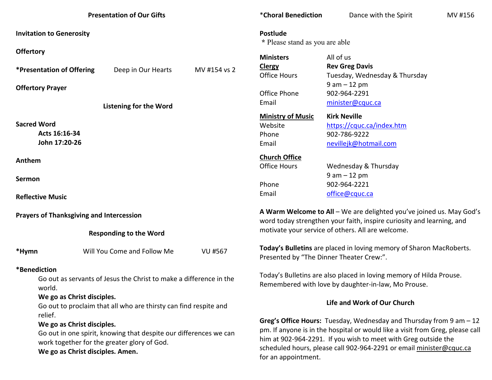| <b>Presentation of Our Gifts</b>                                                                                                                                                              |                                                               | *Choral Benediction                                                                                                        | Dance with the Spirit                                                                                                                                                                                                                                                                                                   | MV #156                                                                                                         |  |
|-----------------------------------------------------------------------------------------------------------------------------------------------------------------------------------------------|---------------------------------------------------------------|----------------------------------------------------------------------------------------------------------------------------|-------------------------------------------------------------------------------------------------------------------------------------------------------------------------------------------------------------------------------------------------------------------------------------------------------------------------|-----------------------------------------------------------------------------------------------------------------|--|
| <b>Invitation to Generosity</b>                                                                                                                                                               |                                                               | Postlude<br>* Please stand as you are able                                                                                 |                                                                                                                                                                                                                                                                                                                         |                                                                                                                 |  |
| <b>Offertory</b>                                                                                                                                                                              |                                                               |                                                                                                                            | <b>Ministers</b>                                                                                                                                                                                                                                                                                                        | All of us                                                                                                       |  |
|                                                                                                                                                                                               | <i><b>*Presentation of Offering</b></i><br>Deep in Our Hearts | MV #154 vs 2                                                                                                               | <b>Clergy</b><br><b>Office Hours</b>                                                                                                                                                                                                                                                                                    | <b>Rev Greg Davis</b><br>Tuesday, Wednesday & Thursday                                                          |  |
|                                                                                                                                                                                               | <b>Offertory Prayer</b>                                       |                                                                                                                            | Office Phone                                                                                                                                                                                                                                                                                                            | $9 am - 12 pm$<br>902-964-2291                                                                                  |  |
|                                                                                                                                                                                               | <b>Listening for the Word</b>                                 |                                                                                                                            | Email                                                                                                                                                                                                                                                                                                                   | minister@cquc.ca                                                                                                |  |
| <b>Sacred Word</b>                                                                                                                                                                            | Acts 16:16-34<br>John 17:20-26                                |                                                                                                                            | <b>Ministry of Music</b><br>Website<br>Phone<br>Email                                                                                                                                                                                                                                                                   | <b>Kirk Neville</b><br>https://cquc.ca/index.htm<br>902-786-9222<br>nevillejk@hotmail.com                       |  |
| Anthem                                                                                                                                                                                        |                                                               |                                                                                                                            | <b>Church Office</b><br><b>Office Hours</b>                                                                                                                                                                                                                                                                             | Wednesday & Thursday                                                                                            |  |
| <b>Sermon</b>                                                                                                                                                                                 |                                                               |                                                                                                                            | Phone                                                                                                                                                                                                                                                                                                                   | $9 am - 12 pm$<br>902-964-2221                                                                                  |  |
|                                                                                                                                                                                               | <b>Reflective Music</b>                                       |                                                                                                                            | Email                                                                                                                                                                                                                                                                                                                   | office@cquc.ca                                                                                                  |  |
| <b>Prayers of Thanksgiving and Intercession</b>                                                                                                                                               |                                                               |                                                                                                                            | A Warm Welcome to All - We are delighted you've joined us. May God's<br>word today strengthen your faith, inspire curiosity and learning, and                                                                                                                                                                           |                                                                                                                 |  |
| <b>Responding to the Word</b>                                                                                                                                                                 |                                                               |                                                                                                                            | motivate your service of others. All are welcome.                                                                                                                                                                                                                                                                       |                                                                                                                 |  |
| *Hymn                                                                                                                                                                                         | Will You Come and Follow Me                                   | <b>VU #567</b>                                                                                                             |                                                                                                                                                                                                                                                                                                                         | Today's Bulletins are placed in loving memory of Sharon MacRoberts.<br>Presented by "The Dinner Theater Crew:". |  |
| *Benediction<br>Go out as servants of Jesus the Christ to make a difference in the<br>world.                                                                                                  |                                                               | Today's Bulletins are also placed in loving memory of Hilda Prouse.<br>Remembered with love by daughter-in-law, Mo Prouse. |                                                                                                                                                                                                                                                                                                                         |                                                                                                                 |  |
| We go as Christ disciples.<br>Go out to proclaim that all who are thirsty can find respite and                                                                                                |                                                               | Life and Work of Our Church                                                                                                |                                                                                                                                                                                                                                                                                                                         |                                                                                                                 |  |
| relief.<br>We go as Christ disciples.<br>Go out in one spirit, knowing that despite our differences we can<br>work together for the greater glory of God.<br>We go as Christ disciples. Amen. |                                                               |                                                                                                                            | Greg's Office Hours: Tuesday, Wednesday and Thursday from $9$ am $-12$<br>pm. If anyone is in the hospital or would like a visit from Greg, please call<br>him at 902-964-2291. If you wish to meet with Greg outside the<br>scheduled hours, please call 902-964-2291 or email minister@cquc.ca<br>for an appointment. |                                                                                                                 |  |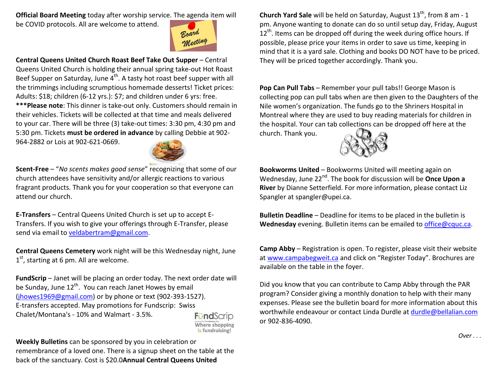**Official Board Meeting** today after worship service. The agenda item will

be COVID protocols. All are welcome to attend.



**Central Queens United Church Roast Beef Take Out Supper** – Central Queens United Church is holding their annual spring take-out Hot Roast Beef Supper on Saturday, June 4<sup>th</sup>. A tasty hot roast beef supper with all the trimmings including scrumptious homemade desserts! Ticket prices: Adults: \$18; children (6-12 yrs.): \$7; and children under 6 yrs: free. **\*\*\*Please note**: This dinner is take-out only. Customers should remain in their vehicles. Tickets will be collected at that time and meals delivered to your car. There will be three (3) take-out times: 3:30 pm, 4:30 pm and 5:30 pm. Tickets **must be ordered in advance** by calling Debbie at 902-

964-2882 or Lois at 902-621-0669.



**Scent-Free** – "*No scents makes good sense*" recognizing that some of our church attendees have sensitivity and/or allergic reactions to various fragrant products. Thank you for your cooperation so that everyone can attend our church.

**E-Transfers** – Central Queens United Church is set up to accept E-Transfers. If you wish to give your offerings through E-Transfer, please send via email to veldabertram@gmail.com.

**Central Queens Cemetery** work night will be this Wednesday night, June  $1<sup>st</sup>$ , starting at 6 pm. All are welcome.

**FundScrip** – Janet will be placing an order today. The next order date will be Sunday, June  $12^{th}$ . You can reach Janet Howes by email (jhowes1969@gmail.com) or by phone or text (902-393-1527). E-transfers accepted. May promotions for Fundscrip: Swiss Chalet/Montana's - 10% and Walmart - 3.5%.FündScrip



**Weekly Bulletins** can be sponsored by you in celebration or remembrance of a loved one. There is a signup sheet on the table at the back of the sanctuary. Cost is \$20.0**Annual Central Queens United** 

**Church Yard Sale** will be held on Saturday, August 13<sup>th</sup>, from 8 am - 1 pm. Anyone wanting to donate can do so until setup day, Friday, August  $12<sup>th</sup>$ . Items can be dropped off during the week during office hours. If possible, please price your items in order to save us time, keeping in mind that it is a yard sale. Clothing and books DO NOT have to be priced. They will be priced together accordingly. Thank you.

**Pop Can Pull Tabs** – Remember your pull tabs!! George Mason is collecting pop can pull tabs when are then given to the Daughters of the Nile women's organization. The funds go to the Shriners Hospital in Montreal where they are used to buy reading materials for children in the hospital. Your can tab collections can be dropped off here at the church. Thank you.



**Bookworms United** – Bookworms United will meeting again on Wednesday, June 22nd. The book for discussion will be **Once Upon a River** by Dianne Setterfield. For more information, please contact Liz Spangler at spangler@upei.ca.

**Bulletin Deadline** – Deadline for items to be placed in the bulletin is **Wednesday** evening. Bulletin items can be emailed to office@cquc.ca.

**Camp Abby** – Registration is open. To register, please visit their website at www.campabegweit.ca and click on "Register Today". Brochures are available on the table in the foyer.

Did you know that you can contribute to Camp Abby through the PAR program? Consider giving a monthly donation to help with their many expenses. Please see the bulletin board for more information about this worthwhile endeavour or contact Linda Durdle at durdle@bellalian.comor 902-836-4090.